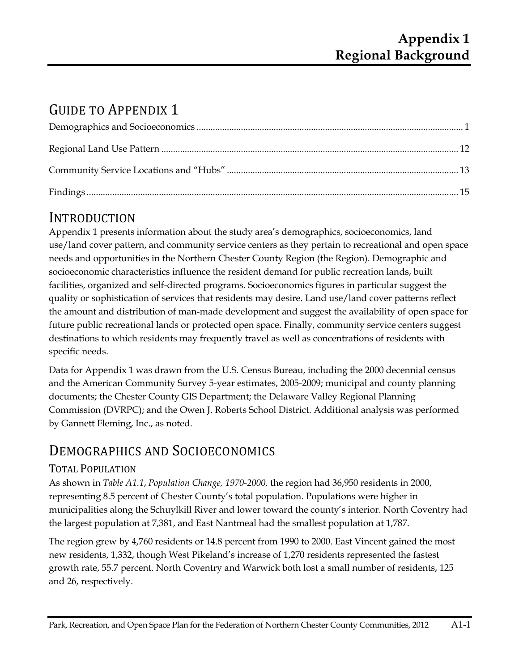# GUIDE TO APPENDIX 1

## INTRODUCTION

Appendix 1 presents information about the study area's demographics, socioeconomics, land use/land cover pattern, and community service centers as they pertain to recreational and open space needs and opportunities in the Northern Chester County Region (the Region). Demographic and socioeconomic characteristics influence the resident demand for public recreation lands, built facilities, organized and self-directed programs. Socioeconomics figures in particular suggest the quality or sophistication of services that residents may desire. Land use/land cover patterns reflect the amount and distribution of man-made development and suggest the availability of open space for future public recreational lands or protected open space. Finally, community service centers suggest destinations to which residents may frequently travel as well as concentrations of residents with specific needs.

Data for Appendix 1 was drawn from the U.S. Census Bureau, including the 2000 decennial census and the American Community Survey 5-year estimates, 2005-2009; municipal and county planning documents; the Chester County GIS Department; the Delaware Valley Regional Planning Commission (DVRPC); and the Owen J. Roberts School District. Additional analysis was performed by Gannett Fleming, Inc., as noted.

## DEMOGRAPHICS AND SOCIOECONOMICS

## TOTAL POPULATION

As shown in *Table A1.1*, *Population Change, 1970-2000,* the region had 36,950 residents in 2000, representing 8.5 percent of Chester County's total population. Populations were higher in municipalities along the Schuylkill River and lower toward the county's interior. North Coventry had the largest population at 7,381, and East Nantmeal had the smallest population at 1,787.

The region grew by 4,760 residents or 14.8 percent from 1990 to 2000. East Vincent gained the most new residents, 1,332, though West Pikeland's increase of 1,270 residents represented the fastest growth rate, 55.7 percent. North Coventry and Warwick both lost a small number of residents, 125 and 26, respectively.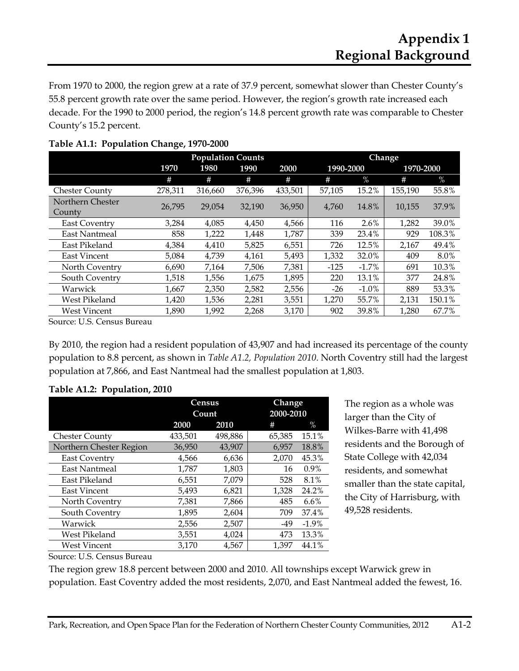From 1970 to 2000, the region grew at a rate of 37.9 percent, somewhat slower than Chester County's 55.8 percent growth rate over the same period. However, the region's growth rate increased each decade. For the 1990 to 2000 period, the region's 14.8 percent growth rate was comparable to Chester County's 15.2 percent.

|                       |         | <b>Population Counts</b> |         | Change  |           |          |           |        |  |
|-----------------------|---------|--------------------------|---------|---------|-----------|----------|-----------|--------|--|
|                       | 1970    | 1980                     | 1990    | 2000    | 1990-2000 |          | 1970-2000 |        |  |
|                       | #       | #                        | #       | #       | #         | $\%$     | #         | $\%$   |  |
| <b>Chester County</b> | 278,311 | 316,660                  | 376,396 | 433,501 | 57,105    | 15.2%    | 155,190   | 55.8%  |  |
| Northern Chester      | 26,795  | 29,054                   | 32,190  | 36,950  | 4,760     | 14.8%    | 10,155    | 37.9%  |  |
| County                |         |                          |         |         |           |          |           |        |  |
| <b>East Coventry</b>  | 3,284   | 4,085                    | 4,450   | 4,566   | 116       | 2.6%     | 1,282     | 39.0%  |  |
| East Nantmeal         | 858     | 1,222                    | 1,448   | 1,787   | 339       | 23.4%    | 929       | 108.3% |  |
| East Pikeland         | 4,384   | 4,410                    | 5,825   | 6,551   | 726       | 12.5%    | 2,167     | 49.4%  |  |
| East Vincent          | 5,084   | 4,739                    | 4,161   | 5,493   | 1,332     | 32.0%    | 409       | 8.0%   |  |
| North Coventry        | 6,690   | 7,164                    | 7,506   | 7,381   | $-125$    | $-1.7%$  | 691       | 10.3%  |  |
| South Coventry        | 1,518   | 1,556                    | 1,675   | 1,895   | 220       | 13.1%    | 377       | 24.8%  |  |
| Warwick               | 1,667   | 2,350                    | 2,582   | 2,556   | -26       | $-1.0\%$ | 889       | 53.3%  |  |
| West Pikeland         | 1,420   | 1,536                    | 2,281   | 3,551   | 1,270     | 55.7%    | 2,131     | 150.1% |  |
| <b>West Vincent</b>   | 1,890   | 1,992                    | 2,268   | 3,170   | 902       | 39.8%    | 1.280     | 67.7%  |  |

#### **Table A1.1: Population Change, 1970-2000**

Source: U.S. Census Bureau

By 2010, the region had a resident population of 43,907 and had increased its percentage of the county population to 8.8 percent, as shown in *Table A1.2, Population 2010*. North Coventry still had the largest population at 7,866, and East Nantmeal had the smallest population at 1,803.

#### **Table A1.2: Population, 2010**

|                         |         | Census  | Change    |          |
|-------------------------|---------|---------|-----------|----------|
|                         |         | Count   | 2000-2010 |          |
|                         | 2000    | 2010    | #         | $\%$     |
| <b>Chester County</b>   | 433,501 | 498,886 | 65,385    | 15.1%    |
| Northern Chester Region | 36,950  | 43,907  | 6,957     | 18.8%    |
| <b>East Coventry</b>    | 4,566   | 6,636   | 2,070     | 45.3%    |
| East Nantmeal           | 1,787   | 1,803   | 16        | 0.9%     |
| East Pikeland           | 6,551   | 7,079   | 528       | 8.1%     |
| East Vincent            | 5,493   | 6,821   | 1,328     | 24.2%    |
| North Coventry          | 7,381   | 7,866   | 485       | $6.6\%$  |
| South Coventry          | 1,895   | 2,604   | 709       | 37.4%    |
| Warwick                 | 2,556   | 2,507   | -49       | $-1.9\%$ |
| West Pikeland           | 3,551   | 4.024   | 473       | 13.3%    |
| <b>West Vincent</b>     | 3,170   | 4,567   | 1,397     | 44.1%    |

The region as a whole was larger than the City of Wilkes-Barre with 41,498 residents and the Borough of State College with 42,034 residents, and somewhat smaller than the state capital, the City of Harrisburg, with 49,528 residents.

Source: U.S. Census Bureau

The region grew 18.8 percent between 2000 and 2010. All townships except Warwick grew in population. East Coventry added the most residents, 2,070, and East Nantmeal added the fewest, 16.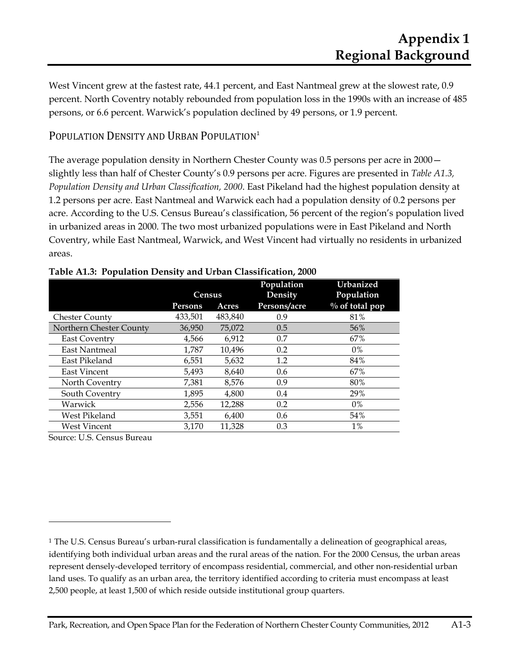West Vincent grew at the fastest rate, 44.1 percent, and East Nantmeal grew at the slowest rate, 0.9 percent. North Coventry notably rebounded from population loss in the 1990s with an increase of 485 persons, or 6.6 percent. Warwick's population declined by 49 persons, or 1.9 percent.

### POPULATION DENSITY AND URBAN POPULATION<sup>1</sup>

The average population density in Northern Chester County was 0.5 persons per acre in 2000 slightly less than half of Chester County's 0.9 persons per acre. Figures are presented in *Table A1.3, Population Density and Urban Classification, 2000*. East Pikeland had the highest population density at 1.2 persons per acre. East Nantmeal and Warwick each had a population density of 0.2 persons per acre. According to the U.S. Census Bureau's classification, 56 percent of the region's population lived in urbanized areas in 2000. The two most urbanized populations were in East Pikeland and North Coventry, while East Nantmeal, Warwick, and West Vincent had virtually no residents in urbanized areas.

|                         | <b>Census</b> |         | Population<br>Density | Urbanized<br>Population |
|-------------------------|---------------|---------|-----------------------|-------------------------|
|                         | Persons       | Acres   | Persons/acre          | $\%$ of total pop       |
| <b>Chester County</b>   | 433,501       | 483,840 | 0.9                   | 81%                     |
| Northern Chester County | 36,950        | 75,072  | 0.5                   | 56%                     |
| East Coventry           | 4,566         | 6,912   | 0.7                   | 67%                     |
| East Nantmeal           | 1,787         | 10,496  | 0.2                   | $0\%$                   |
| East Pikeland           | 6,551         | 5,632   | 1.2                   | 84%                     |
| East Vincent            | 5,493         | 8,640   | 0.6                   | 67%                     |
| North Coventry          | 7,381         | 8,576   | 0.9                   | 80%                     |
| South Coventry          | 1,895         | 4,800   | 0.4                   | 29%                     |
| Warwick                 | 2,556         | 12,288  | 0.2                   | $0\%$                   |
| West Pikeland           | 3,551         | 6,400   | 0.6                   | 54%                     |
| <b>West Vincent</b>     | 3,170         | 11,328  | 0.3                   | $1\%$                   |

|  |  | Table A1.3: Population Density and Urban Classification, 2000 |  |
|--|--|---------------------------------------------------------------|--|
|  |  |                                                               |  |

Source: U.S. Census Bureau

 $\overline{a}$ 

 $1$  The U.S. Census Bureau's urban-rural classification is fundamentally a delineation of geographical areas, identifying both individual urban areas and the rural areas of the nation. For the 2000 Census, the urban areas represent densely-developed territory of encompass residential, commercial, and other non-residential urban land uses. To qualify as an urban area, the territory identified according to criteria must encompass at least 2,500 people, at least 1,500 of which reside outside institutional group quarters.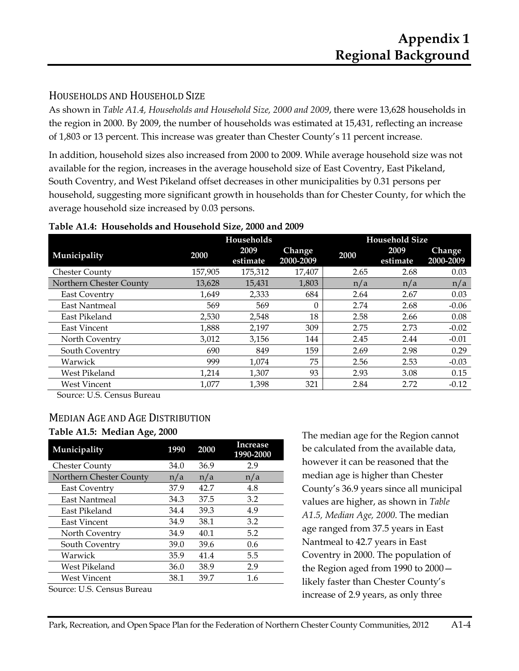### HOUSEHOLDS AND HOUSEHOLD SIZE

As shown in *Table A1.4, Households and Household Size, 2000 and 2009*, there were 13,628 households in the region in 2000. By 2009, the number of households was estimated at 15,431, reflecting an increase of 1,803 or 13 percent. This increase was greater than Chester County's 11 percent increase.

In addition, household sizes also increased from 2000 to 2009. While average household size was not available for the region, increases in the average household size of East Coventry, East Pikeland, South Coventry, and West Pikeland offset decreases in other municipalities by 0.31 persons per household, suggesting more significant growth in households than for Chester County, for which the average household size increased by 0.03 persons.

|                         |         | Households       |                            |      | <b>Household Size</b> |                     |
|-------------------------|---------|------------------|----------------------------|------|-----------------------|---------------------|
| Municipality            | 2000    | 2009<br>estimate | <b>Change</b><br>2000-2009 | 2000 | 2009<br>estimate      | Change<br>2000-2009 |
| <b>Chester County</b>   | 157,905 | 175,312          | 17.407                     | 2.65 | 2.68                  | 0.03                |
| Northern Chester County | 13.628  | 15,431           | 1,803                      | n/a  | n/a                   | n/a                 |
| <b>East Coventry</b>    | 1.649   | 2,333            | 684                        | 2.64 | 2.67                  | 0.03                |
| East Nantmeal           | 569     | 569              | 0                          | 2.74 | 2.68                  | $-0.06$             |
| East Pikeland           | 2.530   | 2.548            | 18                         | 2.58 | 2.66                  | 0.08                |
| <b>East Vincent</b>     | 1,888   | 2,197            | 309                        | 2.75 | 2.73                  | $-0.02$             |
| North Coventry          | 3,012   | 3,156            | 144                        | 2.45 | 2.44                  | $-0.01$             |
| South Coventry          | 690     | 849              | 159                        | 2.69 | 2.98                  | 0.29                |
| Warwick                 | 999     | 1.074            | 75                         | 2.56 | 2.53                  | $-0.03$             |
| West Pikeland           | 1,214   | 1,307            | 93                         | 2.93 | 3.08                  | 0.15                |
| <b>West Vincent</b>     | 1,077   | 1.398            | 321                        | 2.84 | 2.72                  | $-0.12$             |

#### **Table A1.4: Households and Household Size, 2000 and 2009**

Source: U.S. Census Bureau

#### MEDIAN AGE AND AGE DISTRIBUTION **Table A1.5: Median Age, 2000**

| Municipality                                                              | 1990 | 2000 | Increase<br>1990-2000 |
|---------------------------------------------------------------------------|------|------|-----------------------|
| <b>Chester County</b>                                                     | 34.0 | 36.9 | 2.9                   |
| Northern Chester County                                                   | n/a  | n/a  | n/a                   |
| East Coventry                                                             | 37.9 | 42.7 | 4.8                   |
| East Nantmeal                                                             | 34.3 | 37.5 | 3.2                   |
| East Pikeland                                                             | 34.4 | 39.3 | 4.9                   |
| East Vincent                                                              | 34.9 | 38.1 | 3.2                   |
| North Coventry                                                            | 34.9 | 40.1 | 5.2                   |
| South Coventry                                                            | 39.0 | 39.6 | 0.6                   |
| Warwick                                                                   | 35.9 | 41.4 | 5.5                   |
| West Pikeland                                                             | 36.0 | 38.9 | 2.9                   |
| West Vincent                                                              | 38.1 | 39.7 | 1.6                   |
| $\mathsf{G}_{\mathsf{O117}CQ}$ I I $\mathsf{C}_{\mathsf{O11}C11C}$ Rupani |      |      |                       |

Source: U.S. Census Bureau

The median age for the Region cannot be calculated from the available data, however it can be reasoned that the median age is higher than Chester County's 36.9 years since all municipal values are higher, as shown in *Table A1.5, Median Age, 2000*. The median age ranged from 37.5 years in East Nantmeal to 42.7 years in East Coventry in 2000. The population of the Region aged from 1990 to 2000 likely faster than Chester County's increase of 2.9 years, as only three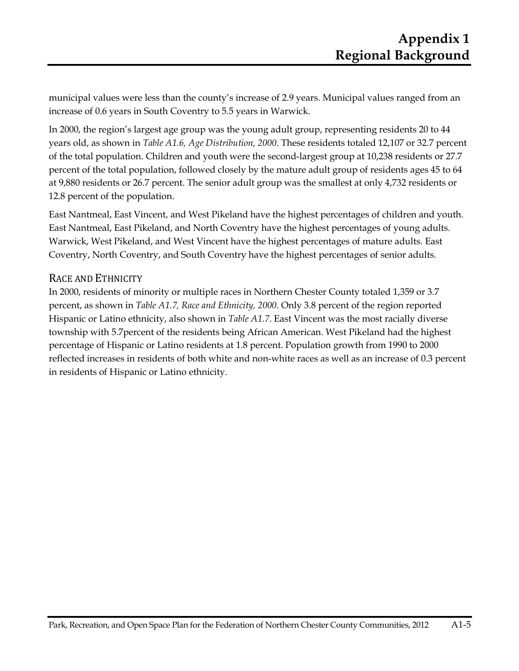municipal values were less than the county's increase of 2.9 years. Municipal values ranged from an increase of 0.6 years in South Coventry to 5.5 years in Warwick.

In 2000, the region's largest age group was the young adult group, representing residents 20 to 44 years old, as shown in *Table A1.6, Age Distribution, 2000*. These residents totaled 12,107 or 32.7 percent of the total population. Children and youth were the second-largest group at 10,238 residents or 27.7 percent of the total population, followed closely by the mature adult group of residents ages 45 to 64 at 9,880 residents or 26.7 percent. The senior adult group was the smallest at only 4,732 residents or 12.8 percent of the population.

East Nantmeal, East Vincent, and West Pikeland have the highest percentages of children and youth. East Nantmeal, East Pikeland, and North Coventry have the highest percentages of young adults. Warwick, West Pikeland, and West Vincent have the highest percentages of mature adults. East Coventry, North Coventry, and South Coventry have the highest percentages of senior adults.

### RACE AND ETHNICITY

In 2000, residents of minority or multiple races in Northern Chester County totaled 1,359 or 3.7 percent, as shown in *Table A1.7, Race and Ethnicity, 2000*. Only 3.8 percent of the region reported Hispanic or Latino ethnicity, also shown in *Table A1.7*. East Vincent was the most racially diverse township with 5.7percent of the residents being African American. West Pikeland had the highest percentage of Hispanic or Latino residents at 1.8 percent. Population growth from 1990 to 2000 reflected increases in residents of both white and non-white races as well as an increase of 0.3 percent in residents of Hispanic or Latino ethnicity.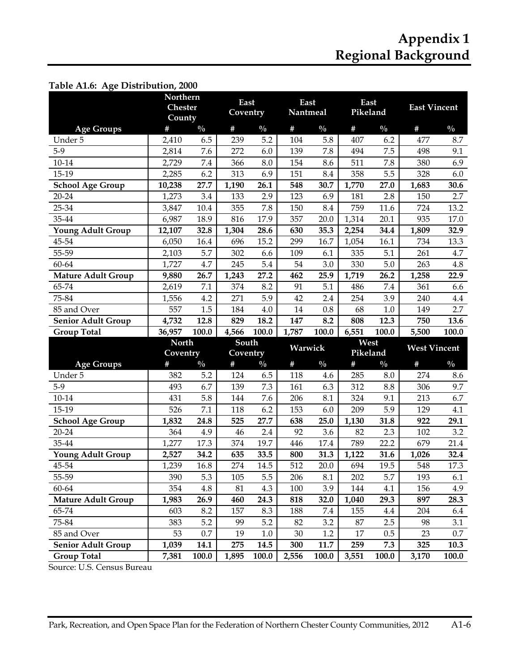| Table A1.6: Age Distribution, 2000              |                                      |               |                   |               |                  |               |                  |               |                     |               |
|-------------------------------------------------|--------------------------------------|---------------|-------------------|---------------|------------------|---------------|------------------|---------------|---------------------|---------------|
|                                                 | Northern<br><b>Chester</b><br>County |               | East<br>Coventry  |               | East<br>Nantmeal |               | East<br>Pikeland |               | <b>East Vincent</b> |               |
| <b>Age Groups</b>                               | #                                    | $\frac{0}{0}$ | #                 | $\frac{0}{0}$ | $\#$             | $\frac{0}{0}$ | #                | $\frac{0}{0}$ | $\#$                | $\frac{0}{0}$ |
| Under 5                                         | 2,410                                | 6.5           | 239               | 5.2           | 104              | 5.8           | 407              | 6.2           | 477                 | 8.7           |
| $5-9$                                           | 2,814                                | 7.6           | 272               | 6.0           | 139              | 7.8           | 494              | 7.5           | 498                 | 9.1           |
| $10 - 14$                                       | 2,729                                | 7.4           | 366               | 8.0           | 154              | 8.6           | 511              | 7.8           | 380                 | 6.9           |
| 15-19                                           | 2,285                                | 6.2           | 313               | 6.9           | 151              | 8.4           | 358              | 5.5           | 328                 | 6.0           |
| <b>School Age Group</b>                         | 10,238                               | 27.7          | 1,190             | 26.1          | 548              | 30.7          | 1,770            | 27.0          | 1,683               | 30.6          |
| 20-24                                           | 1,273                                | 3.4           | 133               | 2.9           | 123              | 6.9           | 181              | 2.8           | 150                 | 2.7           |
| 25-34                                           | 3,847                                | 10.4          | 355               | 7.8           | 150              | 8.4           | 759              | 11.6          | 724                 | 13.2          |
| 35-44                                           | 6,987                                | 18.9          | 816               | 17.9          | 357              | 20.0          | 1,314            | 20.1          | 935                 | 17.0          |
| <b>Young Adult Group</b>                        | 12,107                               | 32.8          | 1,304             | 28.6          | 630              | 35.3          | 2,254            | 34.4          | 1,809               | 32.9          |
| 45-54                                           | 6,050                                | 16.4          | 696               | 15.2          | 299              | 16.7          | 1,054            | 16.1          | 734                 | 13.3          |
| 55-59                                           | 2,103                                | 5.7           | 302               | 6.6           | 109              | 6.1           | 335              | 5.1           | 261                 | 4.7           |
| 60-64                                           | 1,727                                | 4.7           | 245               | 5.4           | 54               | 3.0           | 330              | 5.0           | 263                 | 4.8           |
| <b>Mature Adult Group</b>                       | 9,880                                | 26.7          | 1,243             | 27.2          | 462              | 25.9          | 1,719            | 26.2          | 1,258               | 22.9          |
| 65-74                                           | 2,619                                | 7.1           | 374               | 8.2           | 91               | 5.1           | 486              | 7.4           | 361                 | 6.6           |
| 75-84                                           | 1,556                                | 4.2           | 271               | 5.9           | 42               | 2.4           | 254              | 3.9           | 240                 | 4.4           |
| 85 and Over                                     | 557                                  | 1.5           | 184               | 4.0           | 14               | 0.8           | 68               | 1.0           | 149                 | 2.7           |
| <b>Senior Adult Group</b>                       | 4,732                                | 12.8          | 829               | 18.2          | 147              | 8.2           | 808              | 12.3          | 750                 | 13.6          |
| <b>Group Total</b>                              | 36,957                               | 100.0         | 4,566             | 100.0         | 1,787            | 100.0         | 6,551            | 100.0         | 5,500               | 100.0         |
|                                                 | <b>North</b><br>Coventry             |               | South<br>Coventry |               | Warwick          |               | West<br>Pikeland |               | <b>West Vincent</b> |               |
|                                                 |                                      |               |                   |               |                  |               |                  |               |                     |               |
| <b>Age Groups</b>                               | $\#$                                 | $\frac{0}{0}$ | $\#$              | $\frac{0}{0}$ | $\#$             | $\frac{0}{0}$ | #                | $\frac{0}{0}$ | $\#$                | $\frac{0}{0}$ |
| Under 5                                         | 382                                  | 5.2           | 124               | 6.5           | 118              | 4.6           | 285              | 8.0           | 274                 | 8.6           |
| $5-9$                                           | 493                                  | 6.7           | 139               | 7.3           | 161              | 6.3           | 312              | 8.8           | 306                 | 9.7           |
| $10 - 14$                                       | 431                                  | 5.8           | 144               | 7.6           | 206              | 8.1           | 324              | 9.1           | 213                 | 6.7           |
| 15-19                                           | 526                                  | 7.1           | 118               | 6.2           | 153              | 6.0           | 209              | 5.9           | 129                 | 4.1           |
| <b>School Age Group</b>                         | 1,832                                | 24.8          | 525               | 27.7          | 638              | 25.0          | 1,130            | 31.8          | 922                 | 29.1          |
| 20-24                                           | 364                                  | 4.9           | 46                | 2.4           | 92               | 3.6           | 82               | 2.3           | 102                 | 3.2           |
| 35-44                                           | 1,277                                | 17.3          | 374               | 19.7          | 446              | 17.4          | 789              | 22.2          | 679                 | 21.4          |
| <b>Young Adult Group</b>                        | 2,527                                | 34.2          | 635               | 33.5          | 800              | 31.3          | 1,122            | 31.6          | 1,026               | 32.4          |
| 45-54                                           | 1,239                                | 16.8          | 274               | 14.5          | 512              | 20.0          | 694              | 19.5          | 548                 | 17.3          |
| 55-59                                           | 390                                  | 5.3           | 105               | 5.5           | 206              | 8.1           | 202              | 5.7           | 193                 | 6.1           |
| 60-64                                           | 354                                  | 4.8           | 81                | 4.3           | 100              | 3.9           | 144              | 4.1           | 156                 | 4.9           |
| <b>Mature Adult Group</b>                       | 1,983                                | 26.9          | 460               | 24.3          | 818              | 32.0          | 1,040            | 29.3          | 897                 | 28.3          |
| 65-74                                           | 603                                  | 8.2           | 157               | 8.3           | 188              | 7.4           | 155              | 4.4           | 204                 | 6.4           |
| 75-84                                           | 383                                  | 5.2           | 99                | 5.2           | 82               | 3.2           | 87               | 2.5           | 98                  | 3.1           |
| 85 and Over                                     | 53                                   | 0.7           | 19                | $1.0\,$       | 30               | 1.2           | 17               | 0.5           | 23                  | $0.7\,$       |
| <b>Senior Adult Group</b><br><b>Group Total</b> | 1,039<br>7,381                       | 14.1<br>100.0 | 275<br>1,895      | 14.5<br>100.0 | 300<br>2,556     | 11.7<br>100.0 | 259<br>3,551     | 7.3<br>100.0  | 325<br>3,170        | 10.3<br>100.0 |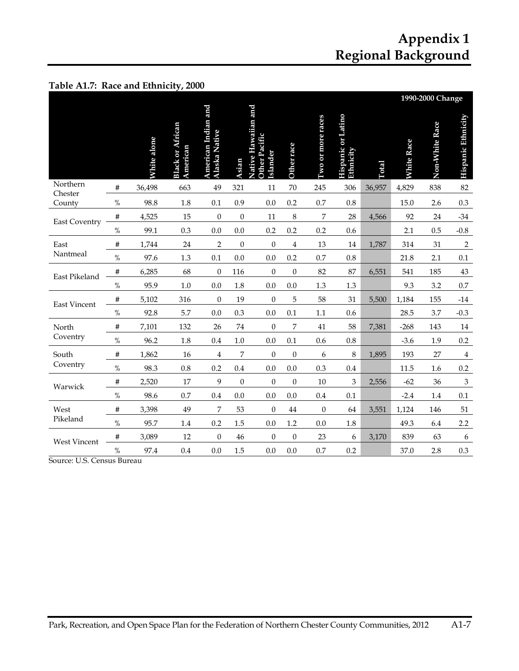|  |  | Table A1.7: Race and Ethnicity, 2000 |  |
|--|--|--------------------------------------|--|
|--|--|--------------------------------------|--|

|                      |      |                    |                                     |                                             |                  |                                                  |                         |                    |                                        |        |                   | 1990-2000 Change |                           |
|----------------------|------|--------------------|-------------------------------------|---------------------------------------------|------------------|--------------------------------------------------|-------------------------|--------------------|----------------------------------------|--------|-------------------|------------------|---------------------------|
|                      |      | <b>White alone</b> | <b>Black or African</b><br>American | American Indian and<br><b>Alaska Native</b> | Asian            | Native Hawaiian and<br>Other Pacific<br>Islander | Other race              | I'wo or more races | <b>Hispanic or Latino</b><br>Ethnicity | Total  | <b>White Race</b> | Non-White Race   | Hispanic Ethnicity        |
| Northern<br>Chester  | #    | 36,498             | 663                                 | 49                                          | 321              | 11                                               | 70                      | 245                | 306                                    | 36,957 | 4,829             | 838              | 82                        |
| County               | $\%$ | 98.8               | 1.8                                 | 0.1                                         | 0.9              | 0.0                                              | 0.2                     | 0.7                | $0.8\,$                                |        | 15.0              | 2.6              | 0.3                       |
| <b>East Coventry</b> | #    | 4,525              | 15                                  | $\boldsymbol{0}$                            | 0                | 11                                               | $\,8\,$                 | 7                  | 28                                     | 4,566  | 92                | 24               | $-34$                     |
|                      | $\%$ | 99.1               | 0.3                                 | 0.0                                         | 0.0              | 0.2                                              | 0.2                     | 0.2                | 0.6                                    |        | 2.1               | 0.5              | $-0.8$                    |
| East                 | #    | 1,744              | 24                                  | 2                                           | $\boldsymbol{0}$ | $\boldsymbol{0}$                                 | $\overline{\mathbf{4}}$ | 13                 | $14\,$                                 | 1,787  | 314               | 31               | $\sqrt{2}$                |
| Nantmeal             | $\%$ | 97.6               | 1.3                                 | 0.1                                         | 0.0              | 0.0                                              | 0.2                     | 0.7                | $0.8\,$                                |        | 21.8              | 2.1              | 0.1                       |
| East Pikeland        | #    | 6,285              | 68                                  | $\boldsymbol{0}$                            | 116              | $\boldsymbol{0}$                                 | $\mathbf{0}$            | 82                 | 87                                     | 6,551  | 541               | 185              | $43\,$                    |
|                      | $\%$ | 95.9               | $1.0\,$                             | 0.0                                         | 1.8              | 0.0                                              | 0.0                     | 1.3                | $1.3\,$                                |        | 9.3               | 3.2              | $0.7\,$                   |
| <b>East Vincent</b>  | #    | 5,102              | 316                                 | $\overline{0}$                              | 19               | $\mathbf{0}$                                     | 5                       | 58                 | 31                                     | 5,500  | 1,184             | 155              | $-14$                     |
|                      | $\%$ | 92.8               | 5.7                                 | 0.0                                         | 0.3              | 0.0                                              | 0.1                     | $1.1\,$            | 0.6                                    |        | 28.5              | 3.7              | $-0.3$                    |
| North                | #    | 7,101              | 132                                 | 26                                          | $74\,$           | $\boldsymbol{0}$                                 | 7                       | 41                 | 58                                     | 7,381  | $-268$            | 143              | $14\,$                    |
| Coventry             | $\%$ | 96.2               | 1.8                                 | 0.4                                         | $1.0\,$          | 0.0                                              | 0.1                     | 0.6                | 0.8                                    |        | $-3.6$            | 1.9              | $0.2\,$                   |
| South                | #    | 1,862              | 16                                  | 4                                           | 7                | $\boldsymbol{0}$                                 | $\boldsymbol{0}$        | 6                  | 8                                      | 1,895  | 193               | 27               | $\bf 4$                   |
| Coventry             | $\%$ | 98.3               | $0.8\,$                             | 0.2                                         | 0.4              | 0.0                                              | 0.0                     | 0.3                | 0.4                                    |        | 11.5              | 1.6              | 0.2                       |
| Warwick              | #    | 2,520              | 17                                  | 9                                           | $\overline{0}$   | $\mathbf{0}$                                     | $\mathbf{0}$            | 10                 | 3                                      | 2,556  | $-62$             | 36               | $\ensuremath{\mathbf{3}}$ |
|                      | $\%$ | 98.6               | 0.7                                 | 0.4                                         | 0.0              | 0.0                                              | 0.0                     | 0.4                | 0.1                                    |        | $-2.4$            | 1.4              | 0.1                       |
| West                 | #    | 3,398              | 49                                  | 7                                           | 53               | $\theta$                                         | 44                      | $\theta$           | 64                                     | 3,551  | 1,124             | 146              | 51                        |
| Pikeland             | $\%$ | 95.7               | 1.4                                 | 0.2                                         | 1.5              | 0.0                                              | 1.2                     | 0.0                | 1.8                                    |        | 49.3              | 6.4              | 2.2                       |
| <b>West Vincent</b>  | #    | 3,089              | 12                                  | $\boldsymbol{0}$                            | 46               | $\theta$                                         | $\mathbf{0}$            | 23                 | 6                                      | 3,170  | 839               | 63               | 6                         |
|                      | $\%$ | 97.4               | 0.4                                 | 0.0                                         | 1.5              | 0.0                                              | 0.0                     | 0.7                | 0.2                                    |        | 37.0              | 2.8              | 0.3                       |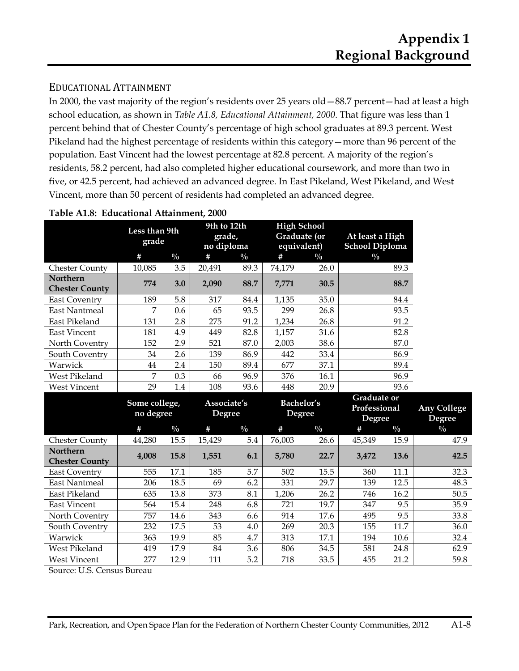**Any College** 

### EDUCATIONAL ATTAINMENT

In 2000, the vast majority of the region's residents over 25 years old—88.7 percent—had at least a high school education, as shown in *Table A1.8, Educational Attainment, 2000*. That figure was less than 1 percent behind that of Chester County's percentage of high school graduates at 89.3 percent. West Pikeland had the highest percentage of residents within this category—more than 96 percent of the population. East Vincent had the lowest percentage at 82.8 percent. A majority of the region's residents, 58.2 percent, had also completed higher educational coursework, and more than two in five, or 42.5 percent, had achieved an advanced degree. In East Pikeland, West Pikeland, and West Vincent, more than 50 percent of residents had completed an advanced degree.

|                                          | Less than 9th<br>grade     |               | 9th to 12th<br>grade,<br>no diploma |               | <b>High School</b><br>Graduate (or<br>equivalent) |               | At least a High<br><b>School Diploma</b>     |               |                                     |
|------------------------------------------|----------------------------|---------------|-------------------------------------|---------------|---------------------------------------------------|---------------|----------------------------------------------|---------------|-------------------------------------|
|                                          | #                          | $\frac{0}{0}$ | $\#$                                | $\frac{0}{0}$ | #                                                 | $\frac{0}{0}$ | $\frac{0}{0}$                                |               |                                     |
| <b>Chester County</b>                    | 10,085                     | 3.5           | 20,491                              | 89.3          | 74,179                                            | 26.0          |                                              | 89.3          |                                     |
| <b>Northern</b><br><b>Chester County</b> | 774                        | 3.0           | 2,090                               | 88.7          | 7,771                                             | 30.5          |                                              | 88.7          |                                     |
| <b>East Coventry</b>                     | 189                        | 5.8           | 317                                 | 84.4          | 1,135                                             | 35.0          |                                              | 84.4          |                                     |
| <b>East Nantmeal</b>                     | $\overline{7}$             | 0.6           | 65                                  | 93.5          | 299                                               | 26.8          |                                              | 93.5          |                                     |
| East Pikeland                            | 131                        | 2.8           | 275                                 | 91.2          | 1,234                                             | 26.8          |                                              | 91.2          |                                     |
| <b>East Vincent</b>                      | 181                        | 4.9           | 449                                 | 82.8          | 1,157                                             | 31.6          |                                              | 82.8          |                                     |
| North Coventry                           | 152                        | 2.9           | 521                                 | 87.0          | 2,003                                             | 38.6          |                                              | 87.0          |                                     |
| South Coventry                           | 34                         | 2.6           | 139                                 | 86.9          | 442                                               | 33.4          |                                              | 86.9          |                                     |
| Warwick                                  | 44                         | 2.4           | 150                                 | 89.4          | 677                                               | 37.1          |                                              | 89.4          |                                     |
| West Pikeland                            | 7                          | 0.3           | 66                                  | 96.9          | 376                                               | 16.1          |                                              | 96.9          |                                     |
| <b>West Vincent</b>                      | 29                         | 1.4           | 108                                 | 93.6          | 448                                               | 20.9          |                                              | 93.6          |                                     |
|                                          | Some college,<br>no degree |               | Associate's<br><b>Degree</b>        |               | <b>Bachelor's</b><br><b>Degree</b>                |               | <b>Graduate or</b><br>Professional<br>Degree |               | <b>Any College</b><br><b>Degree</b> |
|                                          |                            |               |                                     |               |                                                   |               |                                              |               |                                     |
|                                          | $\#$                       | $\frac{0}{0}$ | $\#$                                | $\frac{0}{0}$ | #                                                 | $\frac{0}{0}$ | #                                            | $\frac{0}{0}$ | $\frac{0}{0}$                       |
| <b>Chester County</b>                    | 44,280                     | 15.5          | 15,429                              | 5.4           | 76,003                                            | 26.6          | 45,349                                       | 15.9          | 47.9                                |
| Northern<br><b>Chester County</b>        | 4,008                      | 15.8          | 1,551                               | 6.1           | 5,780                                             | 22.7          | 3,472                                        | 13.6          | 42.5                                |
| <b>East Coventry</b>                     | 555                        | 17.1          | 185                                 | 5.7           | 502                                               | 15.5          | 360                                          | 11.1          | 32.3                                |
| <b>East Nantmeal</b>                     | 206                        | 18.5          | 69                                  | 6.2           | 331                                               | 29.7          | 139                                          | 12.5          | 48.3                                |
| East Pikeland                            | 635                        | 13.8          | 373                                 | 8.1           | 1,206                                             | 26.2          | 746                                          | 16.2          | 50.5                                |
| <b>East Vincent</b>                      | 564                        | 15.4          | 248                                 | 6.8           | 721                                               | 19.7          | 347                                          | 9.5           | 35.9                                |
| North Coventry                           | 757                        | 14.6          | 343                                 | 6.6           | 914                                               | 17.6          | 495                                          | 9.5           | 33.8                                |
| South Coventry                           | 232                        | 17.5          | 53                                  | 4.0           | 269                                               | 20.3          | 155                                          | 11.7          | 36.0                                |

#### **Table A1.8: Educational Attainment, 2000**

West Vincent | 277 12.9 | 111 5.2 | 718 33.5 | 455 21.2 | 59.8 Source: U.S. Census Bureau

West Pikeland 119 17.9 84 3.6 806 34.5 581 24.8 62.9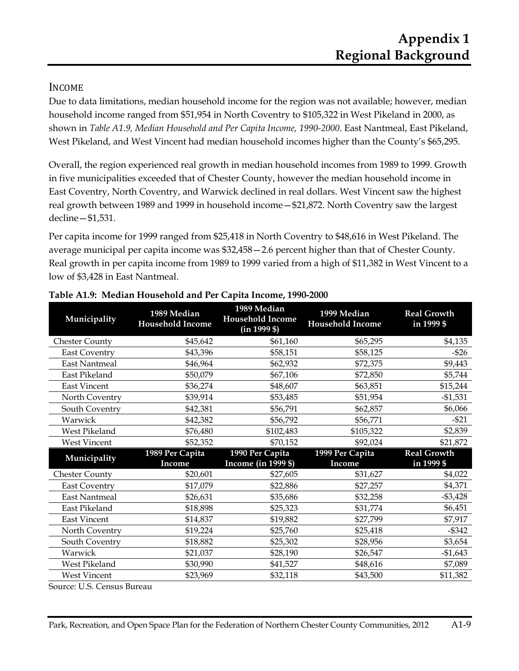### INCOME

Due to data limitations, median household income for the region was not available; however, median household income ranged from \$51,954 in North Coventry to \$105,322 in West Pikeland in 2000, as shown in *Table A1.9, Median Household and Per Capita Income, 1990-2000*. East Nantmeal, East Pikeland, West Pikeland, and West Vincent had median household incomes higher than the County's \$65,295.

Overall, the region experienced real growth in median household incomes from 1989 to 1999. Growth in five municipalities exceeded that of Chester County, however the median household income in East Coventry, North Coventry, and Warwick declined in real dollars. West Vincent saw the highest real growth between 1989 and 1999 in household income—\$21,872. North Coventry saw the largest decline—\$1,531.

Per capita income for 1999 ranged from \$25,418 in North Coventry to \$48,616 in West Pikeland. The average municipal per capita income was \$32,458—2.6 percent higher than that of Chester County. Real growth in per capita income from 1989 to 1999 varied from a high of \$11,382 in West Vincent to a low of \$3,428 in East Nantmeal.

| Municipality          | 1989 Median<br><b>Household Income</b> | 1989 Median<br><b>Household Income</b><br>$(in 1999 \$ | 1999 Median<br><b>Household Income</b> | <b>Real Growth</b><br>in 1999 \$ |
|-----------------------|----------------------------------------|--------------------------------------------------------|----------------------------------------|----------------------------------|
| <b>Chester County</b> | \$45,642                               | \$61,160                                               | \$65,295                               | \$4,135                          |
| <b>East Coventry</b>  | \$43,396                               | \$58,151                                               | \$58,125                               | $-$ \$26                         |
| <b>East Nantmeal</b>  | \$46,964                               | \$62,932                                               | \$72,375                               | \$9,443                          |
| East Pikeland         | \$50,079                               | \$67,106                                               | \$72,850                               | \$5,744                          |
| <b>East Vincent</b>   | \$36,274                               | \$48,607                                               | \$63,851                               | \$15,244                         |
| North Coventry        | \$39,914                               | \$53,485                                               | \$51,954                               | $-$1,531$                        |
| South Coventry        | \$42,381                               | \$56,791                                               | \$62,857                               | \$6,066                          |
| Warwick               | \$42,382                               | \$56,792                                               | \$56,771                               | $-521$                           |
| West Pikeland         | \$76,480                               | \$102,483                                              | \$105,322                              | \$2,839                          |
| <b>West Vincent</b>   | \$52,352                               | \$70,152                                               | \$92,024                               | \$21,872                         |
|                       | 1989 Per Capita                        | 1990 Per Capita                                        | 1999 Per Capita                        | <b>Real Growth</b>               |
|                       |                                        |                                                        |                                        |                                  |
| Municipality          | Income                                 | Income (in 1999 \$)                                    | Income                                 | in 1999 \$                       |
| <b>Chester County</b> | \$20,601                               | \$27,605                                               | \$31,627                               | \$4,022                          |
| <b>East Coventry</b>  | \$17,079                               | \$22,886                                               | \$27,257                               | \$4,371                          |
| <b>East Nantmeal</b>  | \$26,631                               | \$35,686                                               | \$32,258                               | $-$ \$3,428                      |
| East Pikeland         | \$18,898                               | \$25,323                                               | \$31,774                               | \$6,451                          |
| <b>East Vincent</b>   | \$14,837                               | \$19,882                                               | \$27,799                               | \$7,917                          |
| North Coventry        | \$19,224                               | \$25,760                                               | \$25,418                               | $-$ \$342                        |
| South Coventry        | \$18,882                               | \$25,302                                               | \$28,956                               | \$3,654                          |
| Warwick               | \$21,037                               | \$28,190                                               | \$26,547                               | $-$1,643$                        |
| West Pikeland         | \$30,990                               | \$41,527                                               | \$48,616                               | \$7,089                          |

#### **Table A1.9: Median Household and Per Capita Income, 1990-2000**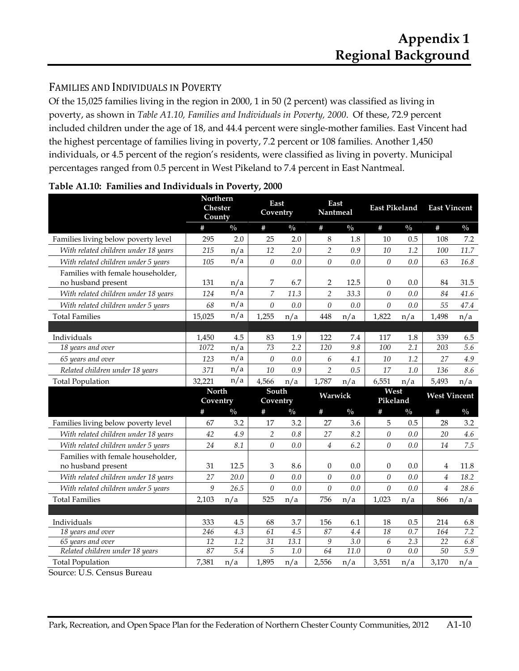## FAMILIES AND INDIVIDUALS IN POVERTY

Of the 15,025 families living in the region in 2000, 1 in 50 (2 percent) was classified as living in poverty, as shown in *Table A1.10, Families and Individuals in Poverty, 2000*. Of these, 72.9 percent included children under the age of 18, and 44.4 percent were single-mother families. East Vincent had the highest percentage of families living in poverty, 7.2 percent or 108 families. Another 1,450 individuals, or 4.5 percent of the region's residents, were classified as living in poverty. Municipal percentages ranged from 0.5 percent in West Pikeland to 7.4 percent in East Nantmeal.

|                                                            | <b>Northern</b><br><b>Chester</b><br>County |                  | East<br>Coventry |               | East<br>Nantmeal |                  | <b>East Pikeland</b> |               | <b>East Vincent</b> |               |
|------------------------------------------------------------|---------------------------------------------|------------------|------------------|---------------|------------------|------------------|----------------------|---------------|---------------------|---------------|
|                                                            | #                                           | $\frac{0}{0}$    | #                | $\frac{0}{0}$ | #                | $\frac{0}{0}$    | #                    | $\frac{0}{0}$ | $\#$                | $\frac{0}{0}$ |
| Families living below poverty level                        | 295                                         | 2.0              | 25               | 2.0           | $8\,$            | 1.8              | 10                   | 0.5           | 108                 | 7.2           |
| With related children under 18 years                       | 215                                         | n/a              | 12               | 2.0           | $\overline{2}$   | 0.9              | 10                   | 1.2           | 100                 | 11.7          |
| With related children under 5 years                        | 105                                         | n/a              | $\boldsymbol{0}$ | 0.0           | $\theta$         | 0.0              | $\theta$             | $0.0\,$       | 63                  | 16.8          |
| Families with female householder,                          |                                             |                  |                  |               |                  |                  |                      |               |                     |               |
| no husband present                                         | 131                                         | n/a              | 7                | 6.7           | 2                | 12.5             | $\Omega$             | 0.0           | 84                  | 31.5          |
| With related children under 18 years                       | 124                                         | n/a              | $\overline{7}$   | 11.3          | $\overline{2}$   | 33.3             | $\theta$             | 0.0           | 84                  | 41.6          |
| With related children under 5 years                        | 68                                          | n/a              | $\theta$         | 0.0           | $\theta$         | 0.0              | $\Omega$             | 0.0           | 55                  | 47.4          |
| <b>Total Families</b>                                      | 15,025                                      | n/a              | 1,255            | n/a           | 448              | n/a              | 1,822                | n/a           | 1,498               | n/a           |
|                                                            |                                             |                  |                  |               |                  |                  |                      |               |                     |               |
| Individuals                                                | 1,450                                       | 4.5              | 83               | 1.9           | 122              | 7.4              | 117                  | 1.8           | 339                 | 6.5           |
| 18 years and over                                          | 1072                                        | n/a              | $\overline{73}$  | 2.2           | 120              | 9.8              | 100                  | 2.1           | 203                 | 5.6           |
| 65 years and over                                          | 123                                         | n/a              | $\theta$         | 0.0           | 6                | 4.1              | 10                   | 1.2           | 27                  | 4.9           |
| Related children under 18 years                            | 371                                         | n/a              | 10               | 0.9           | $\overline{2}$   | 0.5              | 17                   | 1.0           | 136                 | 8.6           |
| <b>Total Population</b>                                    | 32,221                                      | n/a              | 4,566            | n/a           | 1,787            | n/a              | 6,551                | n/a           | 5,493               | n/a           |
|                                                            |                                             |                  |                  |               |                  |                  |                      |               |                     |               |
|                                                            | <b>North</b>                                |                  | South            |               |                  |                  | West                 |               | <b>West Vincent</b> |               |
|                                                            | Coventry                                    |                  | Coventry         |               | Warwick          |                  | Pikeland             |               |                     |               |
|                                                            | #                                           | $\frac{0}{0}$    | #                | $\frac{0}{0}$ | #                | $\frac{0}{0}$    | #                    | $\frac{0}{0}$ | #                   | $\frac{0}{0}$ |
| Families living below poverty level                        | 67                                          | 3.2              | 17               | 3.2           | 27               | 3.6              | 5                    | 0.5           | 28                  | 3.2           |
| With related children under 18 years                       | 42                                          | 4.9              | $\overline{2}$   | 0.8           | 27               | 8.2              | $\theta$             | 0.0           | 20                  | 4.6           |
| With related children under 5 years                        | 24                                          | 8.1              | $\theta$         | 0.0           | $\overline{4}$   | 6.2              | $\theta$             | 0.0           | 14                  | 7.5           |
| Families with female householder,                          |                                             |                  |                  |               |                  |                  |                      |               |                     |               |
| no husband present                                         | 31                                          | 12.5             | 3                | 8.6           | $\theta$         | 0.0              | $\overline{0}$       | 0.0           | 4                   | 11.8          |
| With related children under 18 years                       | 27                                          | 20.0             | $\theta$         | 0.0           | $\theta$         | 0.0              | $\theta$             | 0.0           | $\overline{4}$      | 18.2          |
| With related children under 5 years                        | $\boldsymbol{9}$                            | 26.5             | $\boldsymbol{0}$ | 0.0           | $\theta$         | $0.0\,$          | $\theta$             | $0.0\,$       | $\overline{4}$      | 28.6          |
| <b>Total Families</b>                                      | 2,103                                       | n/a              | 525              | n/a           | 756              | n/a              | 1,023                | n/a           | 866                 | n/a           |
|                                                            |                                             |                  |                  |               |                  |                  |                      |               |                     |               |
| Individuals                                                | 333                                         | 4.5              | 68               | 3.7           | 156              | 6.1              | 18                   | 0.5           | 214                 | 6.8           |
| 18 years and over                                          | 246                                         | $\overline{4.3}$ | 61               | 4.5           | 87               | 4.4              | 18                   | 0.7           | 164                 | 7.2           |
| 65 years and over                                          | $\overline{12}$                             | $\overline{1.2}$ | $\overline{31}$  | 13.1          | 9                | $\overline{3.0}$ | 6                    | 2.3           | 22                  | 6.8           |
| Related children under 18 years<br><b>Total Population</b> | 87<br>7,381                                 | 5.4<br>n/a       | 5<br>1,895       | 1.0<br>n/a    | 64<br>2,556      | 11.0<br>n/a      | $\theta$<br>3,551    | 0.0<br>n/a    | 50<br>3,170         | 5.9<br>n/a    |

| Table A1.10: Families and Individuals in Poverty, 2000 |  |  |  |
|--------------------------------------------------------|--|--|--|
|                                                        |  |  |  |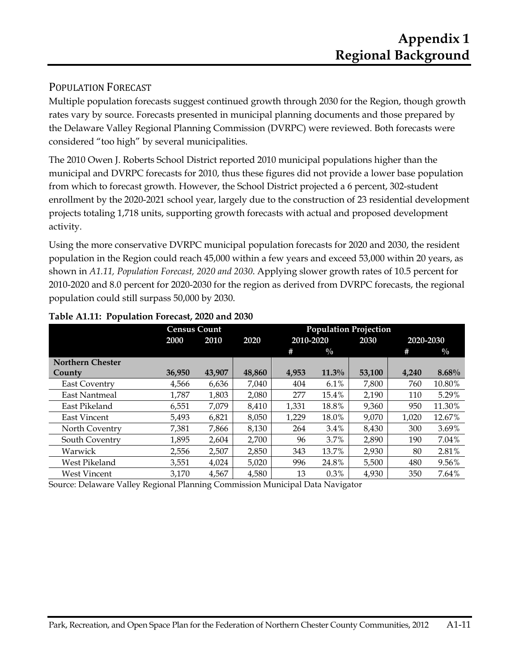### POPULATION FORECAST

Multiple population forecasts suggest continued growth through 2030 for the Region, though growth rates vary by source. Forecasts presented in municipal planning documents and those prepared by the Delaware Valley Regional Planning Commission (DVRPC) were reviewed. Both forecasts were considered "too high" by several municipalities.

The 2010 Owen J. Roberts School District reported 2010 municipal populations higher than the municipal and DVRPC forecasts for 2010, thus these figures did not provide a lower base population from which to forecast growth. However, the School District projected a 6 percent, 302-student enrollment by the 2020-2021 school year, largely due to the construction of 23 residential development projects totaling 1,718 units, supporting growth forecasts with actual and proposed development activity.

Using the more conservative DVRPC municipal population forecasts for 2020 and 2030, the resident population in the Region could reach 45,000 within a few years and exceed 53,000 within 20 years, as shown in *A1.11, Population Forecast, 2020 and 2030*. Applying slower growth rates of 10.5 percent for 2010-2020 and 8.0 percent for 2020-2030 for the region as derived from DVRPC forecasts, the regional population could still surpass 50,000 by 2030.

|                         | <b>Census Count</b> |        |        |           |               | <b>Population Projection</b> |           |               |
|-------------------------|---------------------|--------|--------|-----------|---------------|------------------------------|-----------|---------------|
|                         | 2000                | 2010   | 2020   | 2010-2020 |               | 2030                         | 2020-2030 |               |
|                         |                     |        |        | #         | $\frac{0}{0}$ |                              | #         | $\frac{0}{0}$ |
| <b>Northern Chester</b> |                     |        |        |           |               |                              |           |               |
| County                  | 36,950              | 43,907 | 48,860 | 4,953     | 11.3%         | 53,100                       | 4,240     | 8.68%         |
| <b>East Coventry</b>    | 4,566               | 6,636  | 7,040  | 404       | 6.1%          | 7,800                        | 760       | 10.80%        |
| East Nantmeal           | 1.787               | 1,803  | 2.080  | 277       | 15.4%         | 2,190                        | 110       | 5.29%         |
| East Pikeland           | 6,551               | 7,079  | 8,410  | 1,331     | 18.8%         | 9,360                        | 950       | 11.30%        |
| <b>East Vincent</b>     | 5,493               | 6,821  | 8,050  | 1,229     | 18.0%         | 9.070                        | 1,020     | 12.67%        |
| North Coventry          | 7.381               | 7.866  | 8.130  | 264       | 3.4%          | 8.430                        | 300       | 3.69%         |
| South Coventry          | 1,895               | 2,604  | 2,700  | 96        | 3.7%          | 2,890                        | 190       | 7.04%         |
| Warwick                 | 2,556               | 2,507  | 2,850  | 343       | 13.7%         | 2,930                        | 80        | 2.81%         |
| West Pikeland           | 3,551               | 4,024  | 5.020  | 996       | 24.8%         | 5.500                        | 480       | 9.56%         |
| West Vincent            | 3.170               | 4,567  | 4,580  | 13        | 0.3%          | 4,930                        | 350       | 7.64%         |

#### **Table A1.11: Population Forecast, 2020 and 2030**

Source: Delaware Valley Regional Planning Commission Municipal Data Navigator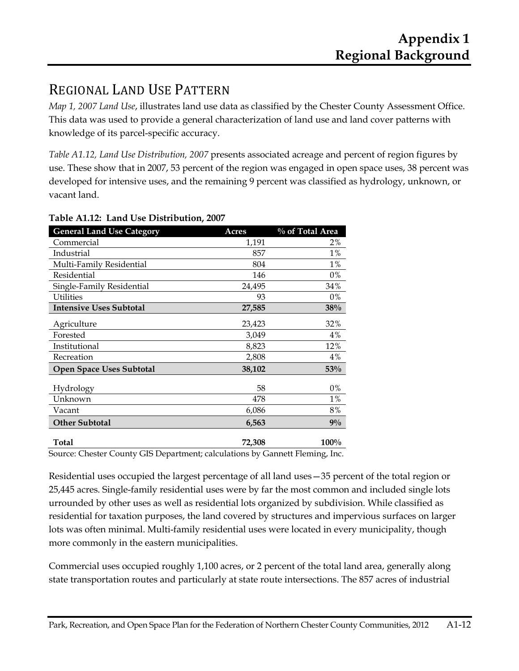## REGIONAL LAND USE PATTERN

*Map 1, 2007 Land Use*, illustrates land use data as classified by the Chester County Assessment Office. This data was used to provide a general characterization of land use and land cover patterns with knowledge of its parcel-specific accuracy.

*Table A1.12, Land Use Distribution, 2007* presents associated acreage and percent of region figures by use. These show that in 2007, 53 percent of the region was engaged in open space uses, 38 percent was developed for intensive uses, and the remaining 9 percent was classified as hydrology, unknown, or vacant land.

| <b>General Land Use Category</b>                                           | Acres  | % of Total Area |
|----------------------------------------------------------------------------|--------|-----------------|
| Commercial                                                                 | 1,191  | 2%              |
| Industrial                                                                 | 857    | 1%              |
| Multi-Family Residential                                                   | 804    | $1\%$           |
| Residential                                                                | 146    | 0%              |
| Single-Family Residential                                                  | 24,495 | 34%             |
| Utilities                                                                  | 93     | 0%              |
| <b>Intensive Uses Subtotal</b>                                             | 27,585 | 38%             |
| Agriculture                                                                | 23,423 | 32%             |
| Forested                                                                   | 3,049  | 4%              |
| Institutional                                                              | 8,823  | 12%             |
| Recreation                                                                 | 2,808  | 4%              |
| <b>Open Space Uses Subtotal</b>                                            | 38,102 | 53%             |
| Hydrology                                                                  | 58     | 0%              |
| Unknown                                                                    | 478    | $1\%$           |
| Vacant                                                                     | 6,086  | 8%              |
| <b>Other Subtotal</b>                                                      | 6,563  | $9\%$           |
| <b>Total</b>                                                               | 72,308 | $100\%$         |
| Course Chester County CIS Department: solsulations by Cannott Flaming Inc. |        |                 |

#### **Table A1.12: Land Use Distribution, 2007**

Source: Chester County GIS Department; calculations by Gannett Fleming, Inc.

Residential uses occupied the largest percentage of all land uses—35 percent of the total region or 25,445 acres. Single-family residential uses were by far the most common and included single lots urrounded by other uses as well as residential lots organized by subdivision. While classified as residential for taxation purposes, the land covered by structures and impervious surfaces on larger lots was often minimal. Multi-family residential uses were located in every municipality, though more commonly in the eastern municipalities.

Commercial uses occupied roughly 1,100 acres, or 2 percent of the total land area, generally along state transportation routes and particularly at state route intersections. The 857 acres of industrial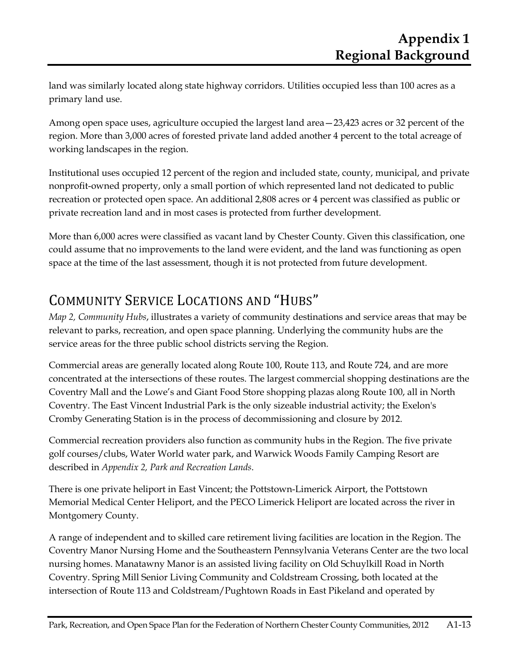land was similarly located along state highway corridors. Utilities occupied less than 100 acres as a primary land use.

Among open space uses, agriculture occupied the largest land area—23,423 acres or 32 percent of the region. More than 3,000 acres of forested private land added another 4 percent to the total acreage of working landscapes in the region.

Institutional uses occupied 12 percent of the region and included state, county, municipal, and private nonprofit-owned property, only a small portion of which represented land not dedicated to public recreation or protected open space. An additional 2,808 acres or 4 percent was classified as public or private recreation land and in most cases is protected from further development.

More than 6,000 acres were classified as vacant land by Chester County. Given this classification, one could assume that no improvements to the land were evident, and the land was functioning as open space at the time of the last assessment, though it is not protected from future development.

## COMMUNITY SERVICE LOCATIONS AND "HUBS"

*Map 2, Community Hubs*, illustrates a variety of community destinations and service areas that may be relevant to parks, recreation, and open space planning. Underlying the community hubs are the service areas for the three public school districts serving the Region.

Commercial areas are generally located along Route 100, Route 113, and Route 724, and are more concentrated at the intersections of these routes. The largest commercial shopping destinations are the Coventry Mall and the Lowe's and Giant Food Store shopping plazas along Route 100, all in North Coventry. The East Vincent Industrial Park is the only sizeable industrial activity; the Exelon's Cromby Generating Station is in the process of decommissioning and closure by 2012.

Commercial recreation providers also function as community hubs in the Region. The five private golf courses/clubs, Water World water park, and Warwick Woods Family Camping Resort are described in *Appendix 2, Park and Recreation Lands*.

There is one private heliport in East Vincent; the Pottstown-Limerick Airport, the Pottstown Memorial Medical Center Heliport, and the PECO Limerick Heliport are located across the river in Montgomery County.

A range of independent and to skilled care retirement living facilities are location in the Region. The Coventry Manor Nursing Home and the Southeastern Pennsylvania Veterans Center are the two local nursing homes. Manatawny Manor is an assisted living facility on Old Schuylkill Road in North Coventry. Spring Mill Senior Living Community and Coldstream Crossing, both located at the intersection of Route 113 and Coldstream/Pughtown Roads in East Pikeland and operated by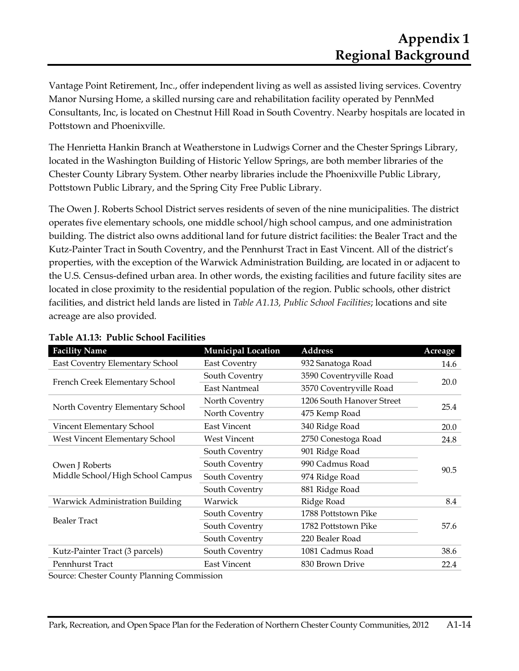Vantage Point Retirement, Inc., offer independent living as well as assisted living services. Coventry Manor Nursing Home, a skilled nursing care and rehabilitation facility operated by PennMed Consultants, Inc, is located on Chestnut Hill Road in South Coventry. Nearby hospitals are located in Pottstown and Phoenixville.

The Henrietta Hankin Branch at Weatherstone in Ludwigs Corner and the Chester Springs Library, located in the Washington Building of Historic Yellow Springs, are both member libraries of the Chester County Library System. Other nearby libraries include the Phoenixville Public Library, Pottstown Public Library, and the Spring City Free Public Library.

The Owen J. Roberts School District serves residents of seven of the nine municipalities. The district operates five elementary schools, one middle school/high school campus, and one administration building. The district also owns additional land for future district facilities: the Bealer Tract and the Kutz-Painter Tract in South Coventry, and the Pennhurst Tract in East Vincent. All of the district's properties, with the exception of the Warwick Administration Building, are located in or adjacent to the U.S. Census-defined urban area. In other words, the existing facilities and future facility sites are located in close proximity to the residential population of the region. Public schools, other district facilities, and district held lands are listed in *Table A1.13, Public School Facilities*; locations and site acreage are also provided*.*

| <b>Facility Name</b>                   | <b>Municipal Location</b> | <b>Address</b>            | <b>Acreage</b> |
|----------------------------------------|---------------------------|---------------------------|----------------|
| East Coventry Elementary School        | <b>East Coventry</b>      | 932 Sanatoga Road         | 14.6           |
|                                        | South Coventry            | 3590 Coventryville Road   |                |
| French Creek Elementary School         | East Nantmeal             | 3570 Coventryville Road   | 20.0           |
|                                        | North Coventry            | 1206 South Hanover Street | 25.4           |
| North Coventry Elementary School       | North Coventry            | 475 Kemp Road             |                |
| Vincent Elementary School              | <b>East Vincent</b>       | 340 Ridge Road            | 20.0           |
| West Vincent Elementary School         | West Vincent              | 2750 Conestoga Road       | 24.8           |
|                                        | South Coventry            | 901 Ridge Road            |                |
| Owen J Roberts                         | South Coventry            | 990 Cadmus Road           | 90.5           |
| Middle School/High School Campus       | South Coventry            | 974 Ridge Road            |                |
|                                        | South Coventry            | 881 Ridge Road            |                |
| <b>Warwick Administration Building</b> | Warwick                   | Ridge Road                | 8.4            |
|                                        | South Coventry            | 1788 Pottstown Pike       |                |
| <b>Bealer Tract</b>                    | South Coventry            | 1782 Pottstown Pike       | 57.6           |
|                                        | South Coventry            | 220 Bealer Road           |                |
| Kutz-Painter Tract (3 parcels)         | South Coventry            | 1081 Cadmus Road          | 38.6           |
| Pennhurst Tract                        | <b>East Vincent</b>       | 830 Brown Drive           | 22.4           |

#### **Table A1.13: Public School Facilities**

Source: Chester County Planning Commission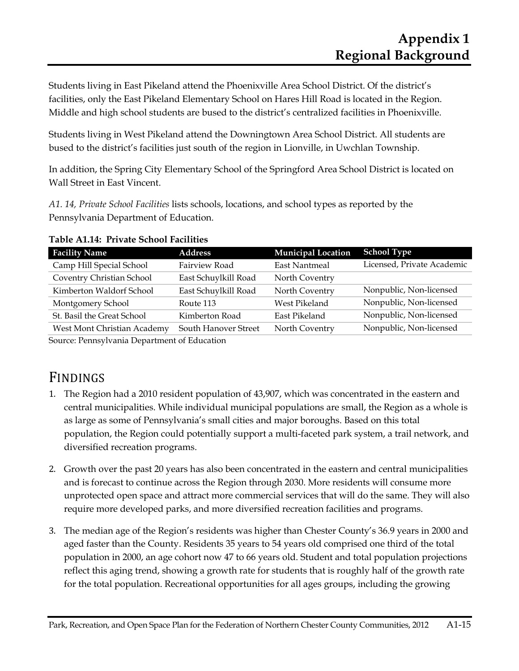Students living in East Pikeland attend the Phoenixville Area School District. Of the district's facilities, only the East Pikeland Elementary School on Hares Hill Road is located in the Region. Middle and high school students are bused to the district's centralized facilities in Phoenixville.

Students living in West Pikeland attend the Downingtown Area School District. All students are bused to the district's facilities just south of the region in Lionville, in Uwchlan Township.

In addition, the Spring City Elementary School of the Springford Area School District is located on Wall Street in East Vincent.

*A1. 14, Private School Facilities* lists schools, locations, and school types as reported by the Pennsylvania Department of Education.

| <b>Facility Name</b>                                                            | <b>Address</b>       | <b>Municipal Location</b> | <b>School Type</b>         |
|---------------------------------------------------------------------------------|----------------------|---------------------------|----------------------------|
| Camp Hill Special School                                                        | Fairview Road        | <b>East Nantmeal</b>      | Licensed, Private Academic |
| Coventry Christian School                                                       | East Schuylkill Road | North Coventry            |                            |
| Kimberton Waldorf School                                                        | East Schuylkill Road | North Coventry            | Nonpublic, Non-licensed    |
| Montgomery School                                                               | Route 113            | West Pikeland             | Nonpublic, Non-licensed    |
| St. Basil the Great School                                                      | Kimberton Road       | East Pikeland             | Nonpublic, Non-licensed    |
| West Mont Christian Academy                                                     | South Hanover Street | North Coventry            | Nonpublic, Non-licensed    |
| $\mathcal{C}$ n 1 $\mathcal{D}$ 1 $\mathcal{D}$ 1 $\mathcal{F}$ 1 $\mathcal{F}$ |                      |                           |                            |

| Table A1.14: Private School Facilities |
|----------------------------------------|
|----------------------------------------|

Source: Pennsylvania Department of Education

## FINDINGS

- 1. The Region had a 2010 resident population of 43,907, which was concentrated in the eastern and central municipalities. While individual municipal populations are small, the Region as a whole is as large as some of Pennsylvania's small cities and major boroughs. Based on this total population, the Region could potentially support a multi-faceted park system, a trail network, and diversified recreation programs.
- 2. Growth over the past 20 years has also been concentrated in the eastern and central municipalities and is forecast to continue across the Region through 2030. More residents will consume more unprotected open space and attract more commercial services that will do the same. They will also require more developed parks, and more diversified recreation facilities and programs.
- 3. The median age of the Region's residents was higher than Chester County's 36.9 years in 2000 and aged faster than the County. Residents 35 years to 54 years old comprised one third of the total population in 2000, an age cohort now 47 to 66 years old. Student and total population projections reflect this aging trend, showing a growth rate for students that is roughly half of the growth rate for the total population. Recreational opportunities for all ages groups, including the growing